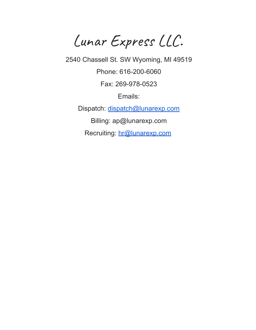Lunar Express LLC.

2540 Chassell St. SW Wyoming, MI 49519

Phone: 616-200-6060

Fax: 269-978-0523

Emails:

Dispatch: [dispatch@lunarexp.com](mailto:dispatch@lunarexp.com)

Billing: ap@lunarexp.com

Recruiting: [hr@lunarexp.com](mailto:hr@lunarexp.com)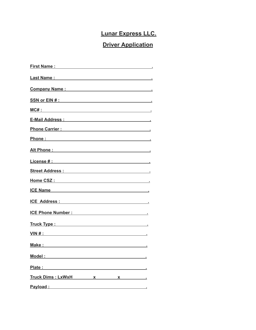# **Lunar Express LLC.**

## **Driver Application**

| First Name: The Commission of the Commission of the Commission of the Commission of the Commission of the Commission of the Commission of the Commission of the Commission of the Commission of the Commission of the Commissi |
|--------------------------------------------------------------------------------------------------------------------------------------------------------------------------------------------------------------------------------|
|                                                                                                                                                                                                                                |
| Company Name: Name : Name : Name : Name : Name : Name : Name : Name : Name : Name : Name : Name : Name : Name : Name : Name : Name : Name : Name : Name : Name : Name : Name : Name : Name : Name : Name : Name : Name : Name  |
| SSN or EIN # : New York SSN or EIN # :                                                                                                                                                                                         |
|                                                                                                                                                                                                                                |
| E-Mail Address : New York Street, New York Street, New York Street, New York Street, New York Street, New York                                                                                                                 |
| Phone Carrier : New York Structure and Structure and Structure and Structure and Structure and Structure and Structure and Structure and Structure and Structure and Structure and Structure and Structure and Structure and S |
| Phone:                                                                                                                                                                                                                         |
|                                                                                                                                                                                                                                |
|                                                                                                                                                                                                                                |
| Street Address : No. 1996 and Street Address :                                                                                                                                                                                 |
| Home CSZ : Andrea CSZ : Andrea CSZ : Andrea CSZ : Andrea CSZ : Andrea CSZ : Andrea CSZ : Andrea CSZ : Andrea C                                                                                                                 |
| ICE Name                                                                                                                                                                                                                       |
| ICE Address : Note and South Address :                                                                                                                                                                                         |
| ICE Phone Number : National Assemblance Contract Contract Contract Contract Contract Contract Contract Contract Contract Contract Contract Contract Contract Contract Contract Contract Contract Contract Contract Contract Co |
| Truck Type : New York Type : New York Type : New York Type : New York Type : New York Type : New York Type : New York Type : New York Type : New York Type : New York Type : New York Type : New York Type : New York Type : N |
|                                                                                                                                                                                                                                |
|                                                                                                                                                                                                                                |
| Mo <u>del : __________________________</u>                                                                                                                                                                                     |
| Plate:<br><u> 1989 - Johann Stoff, deutscher Stoff, der Stoff, der Stoff, der Stoff, der Stoff, der Stoff, der Stoff, der S</u>                                                                                                |
| <u>Truck Dims : LxWxH x x x x x</u>                                                                                                                                                                                            |
| Payload : New York State State State State State State State State State State State State State State State State State State State State State State State State State State State State State State State State State State |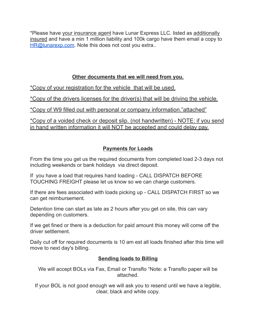\*Please have your insurance agent have Lunar Express LLC. listed as additionally insured and have a min 1 million liability and 100k cargo have them email a copy to [HR@lunarexp.com.](mailto:HR@lunarexp.com) Note this does not cost you extra..

### **Other documents that we will need from you.**

\*Copy of your registration for the vehicle that will be used.

\*Copy of the drivers licenses for the driver(s) that will be driving the vehicle.

\*Copy of W9 filled out with personal or company information."attached"

\*Copy of a voided check or deposit slip. (not handwritten) - NOTE: if you send in hand written information it will NOT be accepted and could delay pay.

#### **Payments for Loads**

From the time you get us the required documents from completed load 2-3 days not including weekends or bank holidays via direct deposit.

If you have a load that requires hand loading - CALL DISPATCH BEFORE TOUCHING FREIGHT please let us know so we can charge customers.

If there are fees associated with loads picking up - CALL DISPATCH FIRST so we can get reimbursement.

Detention time can start as late as 2 hours after you get on site, this can vary depending on customers.

If we get fined or there is a deduction for paid amount this money will come off the driver settlement.

Daily cut off for required documents is 10 am est all loads finished after this time will move to next day's billing.

#### **Sending loads to Billing**

We will accept BOLs via Fax, Email or Transflo "Note: a Transflo paper will be attached.

If your BOL is not good enough we will ask you to resend until we have a legible, clear, black and white copy.